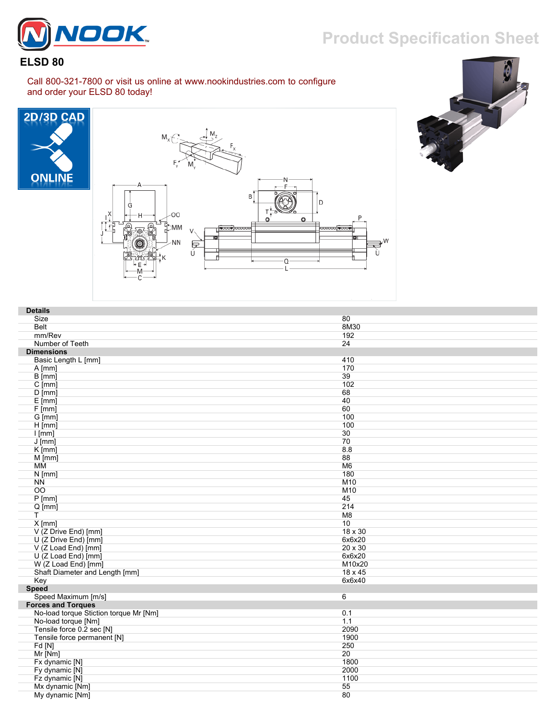

## **Product Specification Sheet**

## **ELSD 80**

Call 800-321-7800 or visit us online at www.nookindustries.com to configure and order your ELSD 80 today!







| <b>Details</b>                         |                |
|----------------------------------------|----------------|
| Size                                   | 80             |
| Belt                                   | 8M30           |
| mm/Rev                                 | 192            |
| Number of Teeth                        | 24             |
| <b>Dimensions</b>                      |                |
| Basic Length L [mm]                    | 410            |
| $A$ [mm]                               | 170            |
| $B$ [mm]                               | 39             |
| $C$ [mm]                               | 102            |
| $D$ [mm]                               | 68             |
| $E$ [mm]                               | 40             |
| F[mm]                                  | 60             |
| G [mm]                                 | 100            |
| $H$ [mm]                               | 100            |
| $l$ [mm]                               | 30             |
| $J$ [mm]                               | 70             |
| $K$ [mm]                               | 8.8            |
| M [mm]                                 | 88             |
| MM                                     | M <sub>6</sub> |
| $N$ [mm]                               | 180            |
| <b>NN</b>                              | M10            |
| $\overline{OO}$                        | M10            |
| $P$ [mm]                               | 45             |
| $Q$ [mm]                               | 214            |
| T                                      | M8             |
| $X$ [mm]                               | 10             |
| V (Z Drive End) [mm]                   | 18 x 30        |
| U (Z Drive End) [mm]                   | 6x6x20         |
| V (Z Load End) [mm]                    | 20 x 30        |
| U (Z Load End) [mm]                    | 6x6x20         |
| W (Z Load End) [mm]                    | M10x20         |
| Shaft Diameter and Length [mm]         | 18 x 45        |
| Key                                    | 6x6x40         |
| <b>Speed</b>                           |                |
| Speed Maximum [m/s]                    | 6              |
| <b>Forces and Torques</b>              |                |
| No-load torque Stiction torque Mr [Nm] | 0.1            |
| No-load torque [Nm]                    | 1.1            |
| Tensile force 0.2 sec [N]              | 2090           |
| Tensile force permanent [N]            | 1900           |
| Fd[N]                                  | 250            |
| Mr [Nm]                                | 20             |
| Fx dynamic [N]                         | 1800           |
| Fy dynamic [N]                         | 2000           |
| Fz dynamic [N]                         | 1100           |
| Mx dynamic [Nm]                        | 55             |
| My dynamic [Nm]                        | 80             |